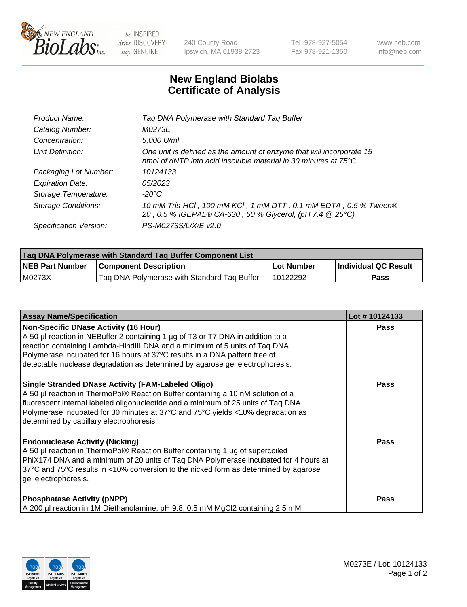

 $be$  INSPIRED drive DISCOVERY stay GENUINE

240 County Road Ipswich, MA 01938-2723 Tel 978-927-5054 Fax 978-921-1350 www.neb.com info@neb.com

## **New England Biolabs Certificate of Analysis**

| Product Name:              | Tag DNA Polymerase with Standard Tag Buffer                                                                                              |
|----------------------------|------------------------------------------------------------------------------------------------------------------------------------------|
| Catalog Number:            | M0273E                                                                                                                                   |
| Concentration:             | 5,000 U/ml                                                                                                                               |
| Unit Definition:           | One unit is defined as the amount of enzyme that will incorporate 15<br>nmol of dNTP into acid insoluble material in 30 minutes at 75°C. |
| Packaging Lot Number:      | 10124133                                                                                                                                 |
| <b>Expiration Date:</b>    | 05/2023                                                                                                                                  |
| Storage Temperature:       | $-20^{\circ}$ C                                                                                                                          |
| <b>Storage Conditions:</b> | 10 mM Tris-HCl, 100 mM KCl, 1 mM DTT, 0.1 mM EDTA, 0.5 % Tween®<br>20, 0.5 % IGEPAL® CA-630, 50 % Glycerol, (pH 7.4 @ 25°C)              |
| Specification Version:     | PS-M0273S/L/X/E v2.0                                                                                                                     |

| Tag DNA Polymerase with Standard Tag Buffer Component List |                                             |            |                      |  |
|------------------------------------------------------------|---------------------------------------------|------------|----------------------|--|
| <b>NEB Part Number</b>                                     | <b>Component Description</b>                | Lot Number | Individual QC Result |  |
| M0273X                                                     | Tag DNA Polymerase with Standard Tag Buffer | 10122292   | Pass                 |  |

| <b>Assay Name/Specification</b>                                                                                                                                                                                                                                                                                                                                              | Lot #10124133 |
|------------------------------------------------------------------------------------------------------------------------------------------------------------------------------------------------------------------------------------------------------------------------------------------------------------------------------------------------------------------------------|---------------|
| <b>Non-Specific DNase Activity (16 Hour)</b><br>A 50 µl reaction in NEBuffer 2 containing 1 µg of T3 or T7 DNA in addition to a<br>reaction containing Lambda-HindIII DNA and a minimum of 5 units of Taq DNA<br>Polymerase incubated for 16 hours at 37°C results in a DNA pattern free of<br>detectable nuclease degradation as determined by agarose gel electrophoresis. | <b>Pass</b>   |
| <b>Single Stranded DNase Activity (FAM-Labeled Oligo)</b><br>A 50 µl reaction in ThermoPol® Reaction Buffer containing a 10 nM solution of a<br>fluorescent internal labeled oligonucleotide and a minimum of 25 units of Taq DNA<br>Polymerase incubated for 30 minutes at 37°C and 75°C yields <10% degradation as<br>determined by capillary electrophoresis.             | <b>Pass</b>   |
| <b>Endonuclease Activity (Nicking)</b><br>A 50 µl reaction in ThermoPol® Reaction Buffer containing 1 µg of supercoiled<br>PhiX174 DNA and a minimum of 20 units of Tag DNA Polymerase incubated for 4 hours at<br>37°C and 75°C results in <10% conversion to the nicked form as determined by agarose<br>gel electrophoresis.                                              | Pass          |
| <b>Phosphatase Activity (pNPP)</b><br>A 200 µl reaction in 1M Diethanolamine, pH 9.8, 0.5 mM MgCl2 containing 2.5 mM                                                                                                                                                                                                                                                         | Pass          |